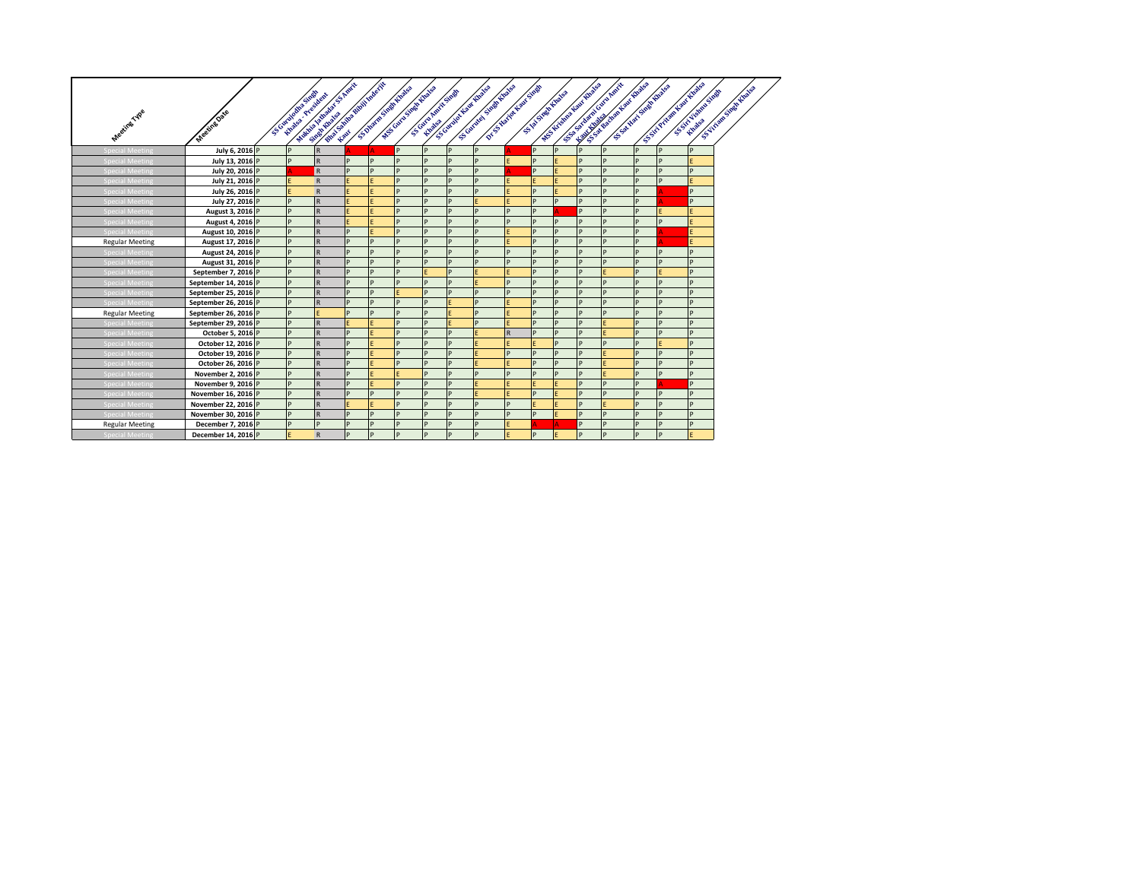|                        |                      |                                       | First Library of Birth Assessment<br>AND DESCRIPTION OF PROPERTY |   |   | Leady School School County of China<br>WESCONN SHOW ROOMS | Scotland Amit States |   | Science Superintending<br>DE SHARIN KING SHARI<br>Scotland Law English |              |          | W.S. LEWIS OF BRIDGE ROOM |   | And the Real Property of the Real Property<br>For the first of the party<br>S.S. Way Links Hughes |   | S SOLVENING WORK LONDON | S. VITER STOR ROOM<br>SERVICE REGISTER |
|------------------------|----------------------|---------------------------------------|------------------------------------------------------------------|---|---|-----------------------------------------------------------|----------------------|---|------------------------------------------------------------------------|--------------|----------|---------------------------|---|---------------------------------------------------------------------------------------------------|---|-------------------------|----------------------------------------|
|                        |                      | Scottingham Sheet<br>Khalon President |                                                                  |   |   |                                                           |                      |   |                                                                        |              |          | STAR STARK PLANSER        |   |                                                                                                   |   |                         |                                        |
| Meeting Type           | Meeting Date         |                                       |                                                                  |   |   |                                                           |                      |   |                                                                        |              |          |                           |   |                                                                                                   |   |                         |                                        |
|                        |                      |                                       |                                                                  |   |   |                                                           |                      |   |                                                                        |              |          |                           |   |                                                                                                   |   |                         |                                        |
|                        |                      |                                       |                                                                  |   |   |                                                           |                      |   |                                                                        |              |          |                           |   |                                                                                                   |   |                         |                                        |
| Special Meeting        | July 6, 2016 P       | P                                     | $\mathsf{R}$                                                     |   |   | P                                                         | P                    | D | P                                                                      |              | <b>p</b> | P                         | P | P                                                                                                 | P | P                       |                                        |
| <b>Special Meeting</b> | July 13, 2016 P      | P                                     | $\mathsf R$                                                      | D | D | D                                                         | D                    |   | D                                                                      |              |          |                           | P | D                                                                                                 |   | D                       |                                        |
| <b>Special Meeting</b> | July 20, 2016 P      |                                       | R                                                                |   | D | P                                                         | D                    |   | D                                                                      |              |          | F                         | P | D                                                                                                 | D | D                       |                                        |
| <b>Special Meeting</b> | July 21, 2016 P      |                                       | $\mathsf{R}$                                                     |   |   | P                                                         | D                    |   | D                                                                      |              |          |                           | P | P                                                                                                 | D | D                       |                                        |
| Special Meeting        | July 26, 2016 P      | F                                     | $\mathsf{R}$                                                     |   | F | P                                                         | D                    | n | D                                                                      |              | D        |                           | D | D                                                                                                 | D |                         | D                                      |
| pecial Meeting         | July 27, 2016 P      | D                                     | $\mathsf{R}$                                                     |   |   | D                                                         | D                    |   |                                                                        |              | D        | D                         | P | D                                                                                                 |   |                         | D                                      |
| pecial Meeting         | August 3, 2016 P     | P                                     | $\mathsf R$                                                      | F |   | P                                                         | D                    | D | D                                                                      | P            | D        |                           | P | P                                                                                                 | D |                         |                                        |
| ecial Meetin           | August 4, 2016 P     | P                                     | $\mathsf{R}$                                                     | F |   | P                                                         | D                    | D | D                                                                      | D            | D        | P                         | P | P                                                                                                 | D | D                       |                                        |
| pecial Meeting         | August 10, 2016 P    | P                                     | $\mathsf{R}$                                                     | D |   | P                                                         | D                    | D | D                                                                      |              | n.       | P                         | P | P                                                                                                 | D |                         | F                                      |
| <b>Regular Meeting</b> | August 17, 2016 P    | P                                     | $\mathsf{R}$                                                     | D | D | P                                                         | D                    | n | D                                                                      |              |          | P                         | P | P                                                                                                 | D |                         |                                        |
| pecial Meeting         | August 24, 2016 P    | P                                     | $\overline{\mathsf{R}}$                                          |   | D | D                                                         |                      |   | D                                                                      | ID           |          | D                         | P |                                                                                                   |   | D                       |                                        |
| Special Meeting        | August 31, 2016 P    | P                                     | $\mathsf R$                                                      |   | D | P                                                         | D                    |   | D                                                                      | D            |          | P                         | P | D                                                                                                 | D | D                       | D                                      |
| <b>Special Meeting</b> | September 7, 2016 P  | P                                     | $\overline{\mathsf{R}}$                                          | D | D | P                                                         |                      | D |                                                                        |              | D        | P                         | P |                                                                                                   | D |                         |                                        |
| <b>Special Meeting</b> | September 14, 2016 P | P                                     | $\mathsf{R}$                                                     | D | D | P                                                         | D                    | D |                                                                        | D            | D        | D                         | P | D                                                                                                 | D | D                       | n.                                     |
| Special Meeting        | September 25, 2016 P | P                                     | $\mathsf{R}$                                                     | D | D | F                                                         | P                    |   | D                                                                      | D            | D        | D                         | P |                                                                                                   | D | D                       | n                                      |
| <b>Special Meeting</b> | September 26, 2016 P | P                                     | $\mathsf{R}$                                                     | D | D | P                                                         | P                    |   | D                                                                      |              | D        | P                         | P | P                                                                                                 | P | D                       | D                                      |
| <b>Regular Meeting</b> | September 26, 2016 P | P                                     | F                                                                | D | D | P                                                         | P                    |   | D                                                                      |              | D        | P                         | p | P                                                                                                 | P | D                       | D                                      |
| <b>Special Meeting</b> | September 29, 2016 P | P                                     | $\mathsf{R}$                                                     | F |   | P                                                         | P                    | F | D                                                                      |              | D        | P                         | P |                                                                                                   | P | D                       | D                                      |
| <b>Special Meeting</b> | October 5, 2016 P    | P                                     | $\mathsf{R}$                                                     | D |   | P                                                         | D                    | n | F                                                                      | $\mathsf{R}$ | D        | P                         | P |                                                                                                   | D | D                       | n.                                     |
| <b>Special Meeting</b> | October 12, 2016 P   | D                                     | $\overline{\mathsf{R}}$                                          | D |   | P                                                         | D                    |   |                                                                        |              |          | D                         | D | D                                                                                                 |   |                         |                                        |
| <b>Special Meeting</b> | October 19, 2016 P   | P                                     | $\mathsf{R}$                                                     |   |   | P                                                         | D                    |   |                                                                        | D            |          | P                         | P |                                                                                                   | D | D                       | n.                                     |
| <b>Special Meeting</b> | October 26, 2016 P   | p                                     | $\mathsf{R}$                                                     | D |   | P                                                         | D                    |   |                                                                        |              | D        | P                         | P |                                                                                                   | D | D                       |                                        |
| Special Meeting        | November 2, 2016 P   | D                                     | $\mathsf{R}$                                                     | D |   | F                                                         | D                    | n | D                                                                      | D            | D        | D                         | D |                                                                                                   | D | D                       | n.                                     |
| pecial Meeting         | November 9, 2016 P   | D                                     | $\mathsf{R}$                                                     | D |   | D                                                         | D                    | n |                                                                        |              |          |                           | D | D                                                                                                 | D |                         | D                                      |
| pecial Meeting         | November 16, 2016 P  | D                                     | $\mathsf{R}$                                                     | D | D | P                                                         | D                    | D |                                                                        |              | n        |                           | P | P                                                                                                 | D | D                       | D                                      |
| ecial Meetin           | November 22, 2016 P  | P                                     | $\mathsf{R}$                                                     |   |   | P                                                         | D                    | D | D                                                                      | D            |          |                           | P |                                                                                                   | D | D                       | D                                      |
| pecial Meeting         | November 30, 2016 P  | P                                     | $\mathsf{R}$                                                     | D | D | P                                                         | D                    | D | D                                                                      | D            | D        |                           | P | P                                                                                                 | D | D                       | D                                      |
| <b>Regular Meeting</b> | December 7, 2016 P   | P                                     | D                                                                |   | D | P                                                         | D                    |   | P                                                                      |              |          |                           | P | P                                                                                                 |   | D                       | n.                                     |
| Special Meeting        | December 14, 2016 P  | E                                     | $\mathsf{R}$                                                     | P | P | P                                                         | P                    | P | P                                                                      | E            | P        | E                         | P | $\sf P$                                                                                           | P | P                       |                                        |